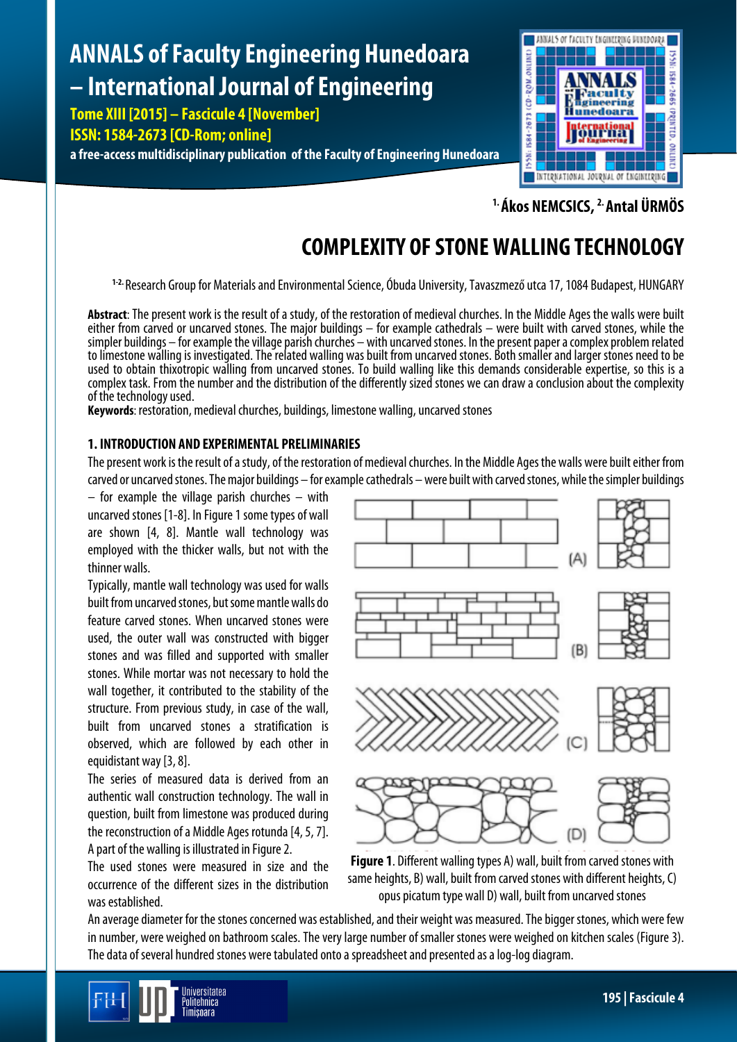# **ANNALS of Faculty Engineering Hunedoara – International Journal of Engineering**

**Tome XIII [2015] – Fascicule 4 [November]**

# **ISSN: 1584-2673 [CD-Rom; online]**

**a free-access multidisciplinary publication of the Faculty of Engineering Hunedoara**



**1. Ákos NEMCSICS, 2. Antal ÜRMÖS**

# **COMPLEXITY OF STONE WALLING TECHNOLOGY**

**1-2.** Research Group for Materials and Environmental Science, Óbuda University,Tavaszmező utca 17, 1084 Budapest, HUNGARY

**Abstract**: The present work is the result of a study, of the restoration of medieval churches. In the Middle Ages the walls were built either from carved or uncarved stones. The major buildings – for example cathedrals – were built with carved stones, while the simpler buildings – for example the village parish churches – with uncarved stones. In the present paper a complex problem related to limestone walling is investigated. The related walling was built from uncarved stones. Both smaller and larger stones needto be used to obtain thixotropic walling from uncarved stones. To build walling like this demands considerable expertise, so this is a complex task. From the number and the distribution of the differently sized stones we can draw a conclusion about the complexity of the technology used.

**Keywords**: restoration, medieval churches, buildings, limestone walling, uncarved stones

## **1. INTRODUCTION AND EXPERIMENTAL PRELIMINARIES**

The present work is the result of a study, of the restoration of medieval churches. In the Middle Ages the walls were built either from carved or uncarved stones. The major buildings – for example cathedrals – were built with carved stones, while the simpler buildings

 $-$  for example the village parish churches  $-$  with uncarved stones [1-8]. In Figure 1 some types of wall are shown [4, 8]. Mantle wall technology was employed with the thicker walls, but not with the thinner walls.

Typically, mantle wall technology was used for walls built from uncarved stones, but some mantle walls do feature carved stones. When uncarved stones were used, the outer wall was constructed with bigger stones and was filled and supported with smaller stones. While mortar was not necessary to hold the wall together, it contributed to the stability of the structure. From previous study, in case of the wall, built from uncarved stones a stratification is observed, which are followed by each other in equidistant way [3, 8].

The series of measured data is derived from an authentic wall construction technology. The wall in question, built from limestone was produced during the reconstruction of a Middle Ages rotunda [4, 5, 7]. A part of the walling is illustrated in Figure 2.

The used stones were measured in size and the occurrence of the different sizes in the distribution was established.



**Figure 1**. Different walling types A) wall, built from carved stones with same heights, B) wall, built from carved stones with different heights, C) opus picatum type wall D) wall, built from uncarved stones

An average diameter for the stones concerned was established, and their weight was measured. The bigger stones, which were few in number, were weighed on bathroom scales. The very large number of smaller stones were weighed on kitchen scales (Figure 3). The data of several hundred stones were tabulated onto a spreadsheet and presented as a log-log diagram.

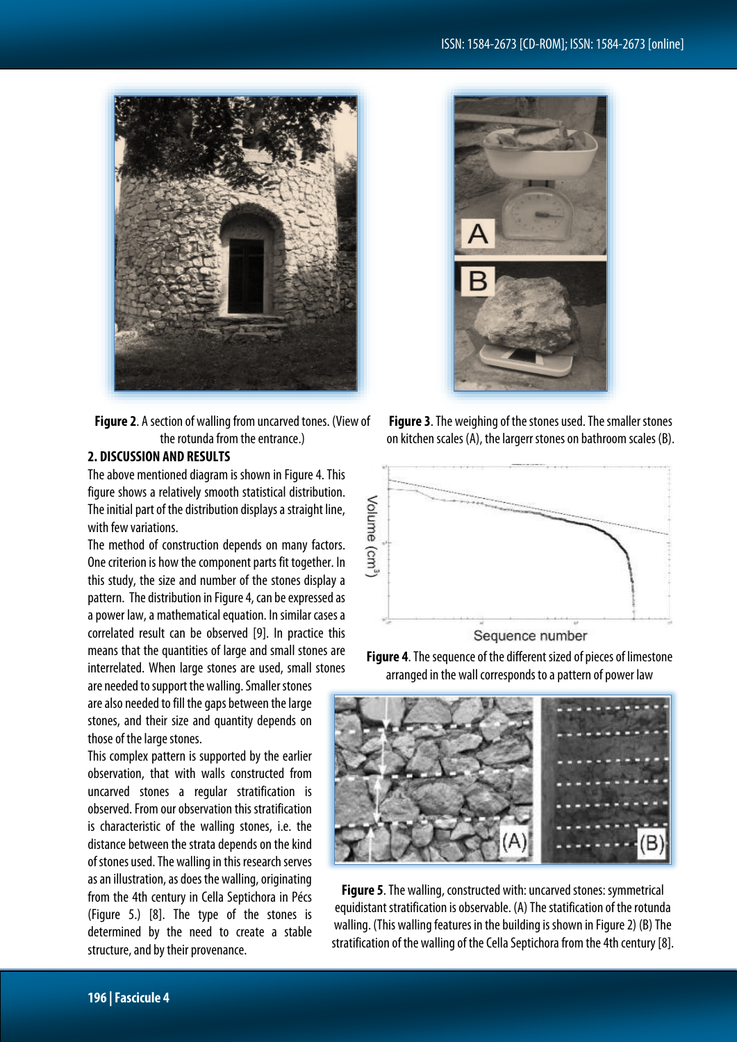

**Figure 2**. A section of walling from uncarved tones. (View of the rotunda from the entrance.)

### **2. DISCUSSION AND RESULTS**

The above mentioned diagram is shown in Figure 4. This figure shows a relatively smooth statistical distribution. The initial part of the distribution displays a straight line, with few variations.

The method of construction depends on many factors. One criterion is how the component parts fit together. In this study, the size and number of the stones display a pattern. The distribution in Figure 4, can be expressed as a power law, a mathematical equation. In similar cases a correlated result can be observed [9]. In practice this means that the quantities of large and small stones are interrelated. When large stones are used, small stones

are needed to support the walling. Smaller stones are also needed to fill the gaps between the large stones, and their size and quantity depends on those of the large stones.

This complex pattern is supported by the earlier observation, that with walls constructed from uncarved stones a regular stratification is observed. From our observation this stratification is characteristic of the walling stones, i.e. the distance between the strata depends on the kind of stones used. The walling in this research serves as an illustration, as does the walling, originating from the 4th century in Cella Septichora in Pécs (Figure 5.) [8]. The type of the stones is determined by the need to create a stable structure, and by their provenance.



**Figure 3**. The weighing of the stones used. The smaller stones on kitchen scales (A), the largerr stones on bathroom scales (B).



Sequence number





**Figure 5**. The walling, constructed with: uncarved stones: symmetrical equidistant stratification is observable. (A) The statification of the rotunda walling. (This walling features in the building is shown in Figure 2) (B) The stratification of the walling of the Cella Septichora from the 4th century [8].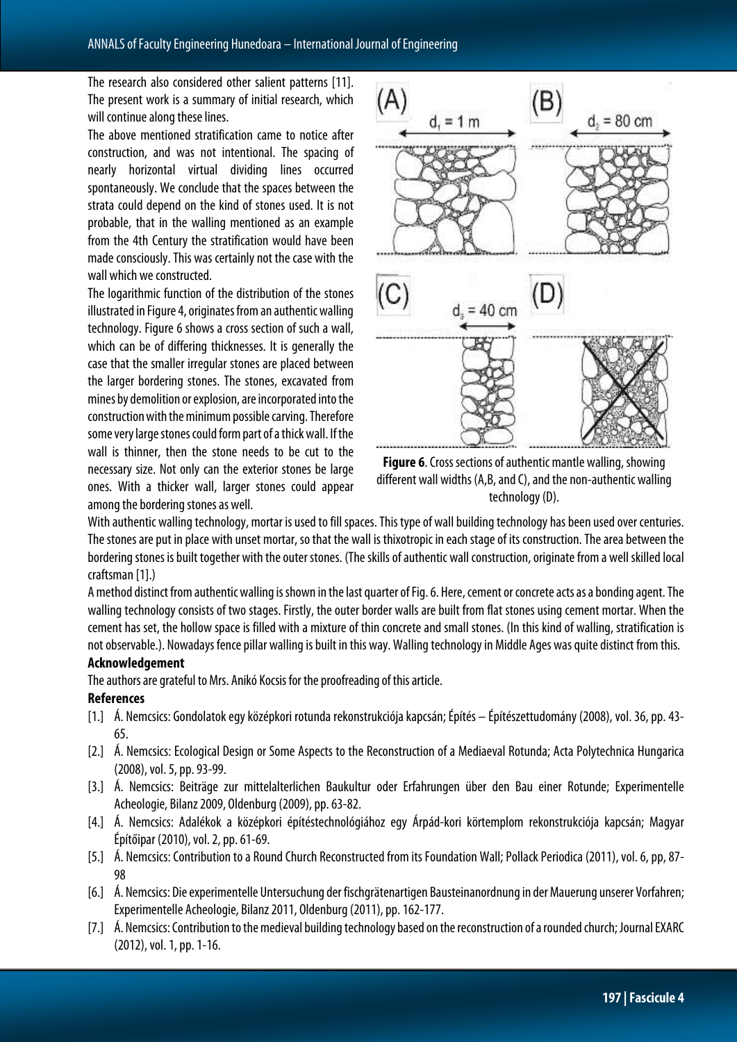The research also considered other salient patterns [11]. The present work is a summary of initial research, which will continue along these lines.

The above mentioned stratification came to notice after construction, and was not intentional. The spacing of nearly horizontal virtual dividing lines occurred spontaneously. We conclude that the spaces between the strata could depend on the kind of stones used. It is not probable, that in the walling mentioned as an example from the 4th Century the stratification would have been made consciously. This was certainly not the case with the wall which we constructed.

The logarithmic function of the distribution of the stones illustrated in Figure 4, originates from an authentic walling technology. Figure 6 shows a cross section of such a wall, which can be of differing thicknesses. It is generally the case that the smaller irregular stones are placed between the larger bordering stones. The stones, excavated from mines by demolition or explosion, are incorporated into the construction with the minimum possible carving. Therefore some very large stones could form part of a thick wall. If the wall is thinner, then the stone needs to be cut to the necessary size. Not only can the exterior stones be large ones. With a thicker wall, larger stones could appear among the bordering stones as well.



**Figure 6**. Cross sections of authentic mantle walling, showing different wall widths (A,B, and C), and the non-authentic walling technology (D).

With authentic walling technology, mortar is used to fill spaces. This type of wall building technology has been used over centuries. The stones are put in place with unset mortar, so that the wall is thixotropic in each stage of its construction. The area between the bordering stones is built together with the outer stones. (The skills of authentic wall construction, originate from a well skilled local craftsman [1].)

Amethod distinct from authentic walling is shown in the last quarter of Fig. 6. Here, cement or concrete acts as a bonding agent. The walling technology consists of two stages. Firstly, the outer border walls are built from flat stones using cement mortar. When the cement has set, the hollow space is filled with a mixture of thin concrete and small stones. (In this kind of walling, stratification is not observable.). Nowadays fence pillar walling is built in this way. Walling technology in Middle Ages was quite distinct from this.

### **Acknowledgement**

The authors are grateful to Mrs. Anikó Kocsis for the proofreading of this article.

### **References**

- [1.] Á. Nemcsics: Gondolatok egy középkori rotunda rekonstrukciója kapcsán; Építés Építészettudomány (2008), vol. 36, pp. 43-65.
- [2.] Á. Nemcsics: Ecological Design or Some Aspects to the Reconstruction of a Mediaeval Rotunda; Acta Polytechnica Hungarica (2008),vol. 5,pp.93-99.
- [3.] Á. Nemcsics: Beiträge zur mittelalterlichen Baukultur oder Erfahrungen über den Bau einer Rotunde; Experimentelle Acheologie, Bilanz 2009, Oldenburg (2009), pp. 63-82.
- [4.] Á. Nemcsics: Adalékok a középkori építéstechnológiához egy Árpád-kori körtemplom rekonstrukciója kapcsán; Magyar Építőipar (2010),vol. 2,pp.61-69.
- [5.] A. Nemcsics: Contribution to a Round Church Reconstructed from its Foundation Wall; Pollack Periodica (2011), vol. 6, pp, 87-98
- [6.] Á. Nemcsics: Die experimentelle Untersuchung der fischgrätenartigen Bausteinanordnung in der Mauerung unserer Vorfahren; Experimentelle Acheologie, Bilanz 2011, Oldenburg (2011), pp. 162-177.
- [7.] Á. Nemcsics: Contribution to the medieval building technology based on the reconstruction of a rounded church; Journal EXARC (2012), vol. 1, pp. 1-16.